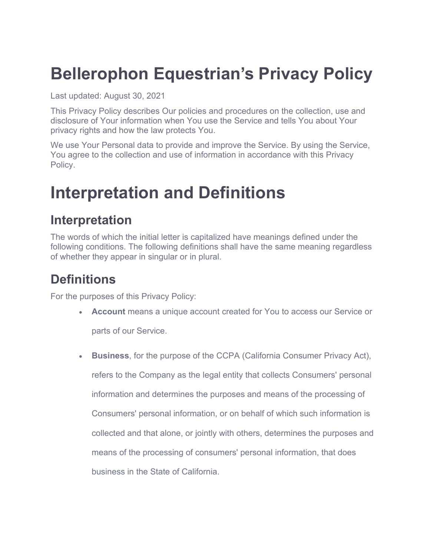# **Bellerophon Equestrian's Privacy Policy**

Last updated: August 30, 2021

This Privacy Policy describes Our policies and procedures on the collection, use and disclosure of Your information when You use the Service and tells You about Your privacy rights and how the law protects You.

We use Your Personal data to provide and improve the Service. By using the Service, You agree to the collection and use of information in accordance with this Privacy Policy.

# **Interpretation and Definitions**

## **Interpretation**

The words of which the initial letter is capitalized have meanings defined under the following conditions. The following definitions shall have the same meaning regardless of whether they appear in singular or in plural.

## **Definitions**

For the purposes of this Privacy Policy:

- **Account** means a unique account created for You to access our Service or parts of our Service.
- **Business**, for the purpose of the CCPA (California Consumer Privacy Act), refers to the Company as the legal entity that collects Consumers' personal information and determines the purposes and means of the processing of Consumers' personal information, or on behalf of which such information is collected and that alone, or jointly with others, determines the purposes and means of the processing of consumers' personal information, that does business in the State of California.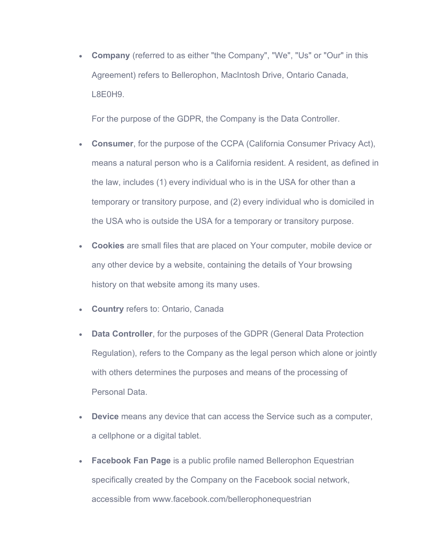• **Company** (referred to as either "the Company", "We", "Us" or "Our" in this Agreement) refers to Bellerophon, MacIntosh Drive, Ontario Canada, L8E0H9.

For the purpose of the GDPR, the Company is the Data Controller.

- **Consumer**, for the purpose of the CCPA (California Consumer Privacy Act), means a natural person who is a California resident. A resident, as defined in the law, includes (1) every individual who is in the USA for other than a temporary or transitory purpose, and (2) every individual who is domiciled in the USA who is outside the USA for a temporary or transitory purpose.
- **Cookies** are small files that are placed on Your computer, mobile device or any other device by a website, containing the details of Your browsing history on that website among its many uses.
- **Country** refers to: Ontario, Canada
- **Data Controller**, for the purposes of the GDPR (General Data Protection Regulation), refers to the Company as the legal person which alone or jointly with others determines the purposes and means of the processing of Personal Data.
- **Device** means any device that can access the Service such as a computer, a cellphone or a digital tablet.
- **Facebook Fan Page** is a public profile named Bellerophon Equestrian specifically created by the Company on the Facebook social network, accessible from [www.facebook.com/bellerophonequestrian](https://www.privacypolicies.com/live/www.facebook.com/bellerophonequestrian)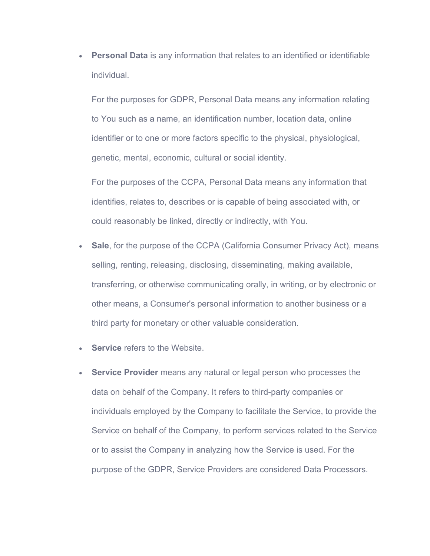• **Personal Data** is any information that relates to an identified or identifiable individual.

For the purposes for GDPR, Personal Data means any information relating to You such as a name, an identification number, location data, online identifier or to one or more factors specific to the physical, physiological, genetic, mental, economic, cultural or social identity.

For the purposes of the CCPA, Personal Data means any information that identifies, relates to, describes or is capable of being associated with, or could reasonably be linked, directly or indirectly, with You.

- **Sale**, for the purpose of the CCPA (California Consumer Privacy Act), means selling, renting, releasing, disclosing, disseminating, making available, transferring, or otherwise communicating orally, in writing, or by electronic or other means, a Consumer's personal information to another business or a third party for monetary or other valuable consideration.
- **Service** refers to the Website.
- **Service Provider** means any natural or legal person who processes the data on behalf of the Company. It refers to third-party companies or individuals employed by the Company to facilitate the Service, to provide the Service on behalf of the Company, to perform services related to the Service or to assist the Company in analyzing how the Service is used. For the purpose of the GDPR, Service Providers are considered Data Processors.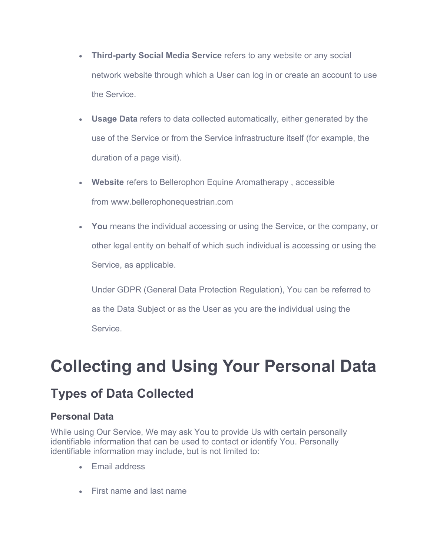- **Third-party Social Media Service** refers to any website or any social network website through which a User can log in or create an account to use the Service.
- **Usage Data** refers to data collected automatically, either generated by the use of the Service or from the Service infrastructure itself (for example, the duration of a page visit).
- **Website** refers to Bellerophon Equine Aromatherapy , accessible from [www.bellerophonequestrian.com](https://www.privacypolicies.com/live/www.bellerophonequestrian.com)
- **You** means the individual accessing or using the Service, or the company, or other legal entity on behalf of which such individual is accessing or using the Service, as applicable.

Under GDPR (General Data Protection Regulation), You can be referred to as the Data Subject or as the User as you are the individual using the **Service** 

# **Collecting and Using Your Personal Data**

# **Types of Data Collected**

### **Personal Data**

While using Our Service, We may ask You to provide Us with certain personally identifiable information that can be used to contact or identify You. Personally identifiable information may include, but is not limited to:

- Email address
- First name and last name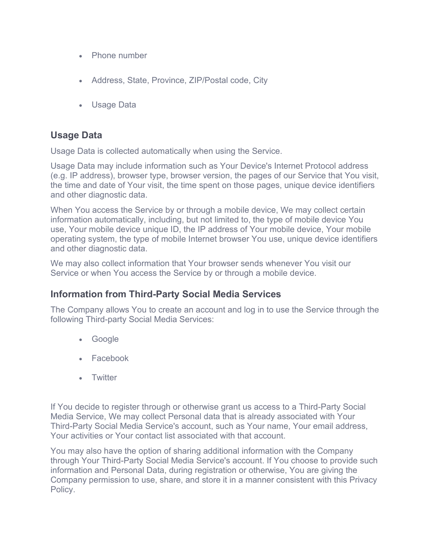- Phone number
- Address, State, Province, ZIP/Postal code, City
- Usage Data

#### **Usage Data**

Usage Data is collected automatically when using the Service.

Usage Data may include information such as Your Device's Internet Protocol address (e.g. IP address), browser type, browser version, the pages of our Service that You visit, the time and date of Your visit, the time spent on those pages, unique device identifiers and other diagnostic data.

When You access the Service by or through a mobile device, We may collect certain information automatically, including, but not limited to, the type of mobile device You use, Your mobile device unique ID, the IP address of Your mobile device, Your mobile operating system, the type of mobile Internet browser You use, unique device identifiers and other diagnostic data.

We may also collect information that Your browser sends whenever You visit our Service or when You access the Service by or through a mobile device.

### **Information from Third-Party Social Media Services**

The Company allows You to create an account and log in to use the Service through the following Third-party Social Media Services:

- Google
- Facebook
- Twitter

If You decide to register through or otherwise grant us access to a Third-Party Social Media Service, We may collect Personal data that is already associated with Your Third-Party Social Media Service's account, such as Your name, Your email address, Your activities or Your contact list associated with that account.

You may also have the option of sharing additional information with the Company through Your Third-Party Social Media Service's account. If You choose to provide such information and Personal Data, during registration or otherwise, You are giving the Company permission to use, share, and store it in a manner consistent with this Privacy Policy.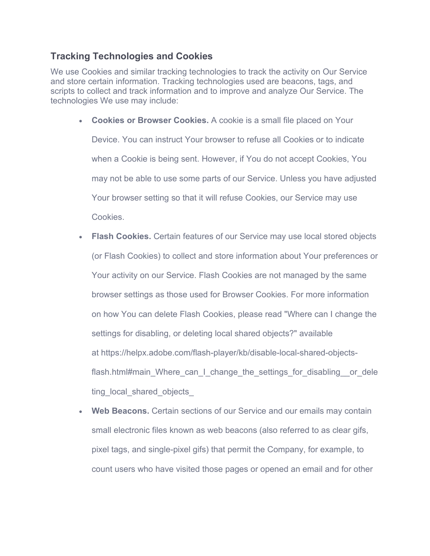#### **Tracking Technologies and Cookies**

We use Cookies and similar tracking technologies to track the activity on Our Service and store certain information. Tracking technologies used are beacons, tags, and scripts to collect and track information and to improve and analyze Our Service. The technologies We use may include:

- **Cookies or Browser Cookies.** A cookie is a small file placed on Your Device. You can instruct Your browser to refuse all Cookies or to indicate when a Cookie is being sent. However, if You do not accept Cookies, You may not be able to use some parts of our Service. Unless you have adjusted Your browser setting so that it will refuse Cookies, our Service may use Cookies.
- **Flash Cookies.** Certain features of our Service may use local stored objects (or Flash Cookies) to collect and store information about Your preferences or Your activity on our Service. Flash Cookies are not managed by the same browser settings as those used for Browser Cookies. For more information on how You can delete Flash Cookies, please read "Where can I change the settings for disabling, or deleting local shared objects?" available at [https://helpx.adobe.com/flash-player/kb/disable-local-shared-objects](https://helpx.adobe.com/flash-player/kb/disable-local-shared-objects-flash.html#main_Where_can_I_change_the_settings_for_disabling__or_deleting_local_shared_objects_)[flash.html#main\\_Where\\_can\\_I\\_change\\_the\\_settings\\_for\\_disabling\\_\\_or\\_dele](https://helpx.adobe.com/flash-player/kb/disable-local-shared-objects-flash.html#main_Where_can_I_change_the_settings_for_disabling__or_deleting_local_shared_objects_) ting local shared objects
- **Web Beacons.** Certain sections of our Service and our emails may contain small electronic files known as web beacons (also referred to as clear gifs, pixel tags, and single-pixel gifs) that permit the Company, for example, to count users who have visited those pages or opened an email and for other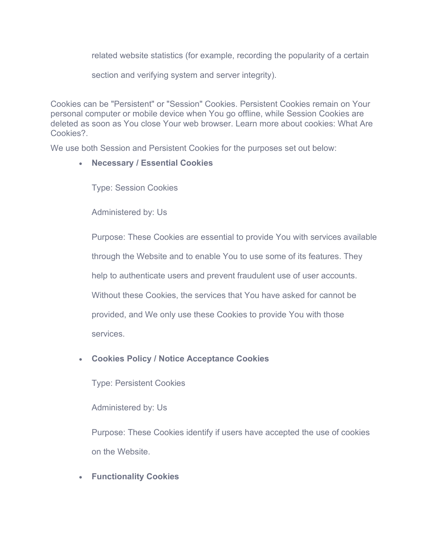related website statistics (for example, recording the popularity of a certain

section and verifying system and server integrity).

Cookies can be "Persistent" or "Session" Cookies. Persistent Cookies remain on Your personal computer or mobile device when You go offline, while Session Cookies are deleted as soon as You close Your web browser. Learn more about cookies: [What Are](https://www.privacypolicies.com/blog/cookies/)  [Cookies?.](https://www.privacypolicies.com/blog/cookies/)

We use both Session and Persistent Cookies for the purposes set out below:

#### • **Necessary / Essential Cookies**

Type: Session Cookies

Administered by: Us

Purpose: These Cookies are essential to provide You with services available through the Website and to enable You to use some of its features. They help to authenticate users and prevent fraudulent use of user accounts. Without these Cookies, the services that You have asked for cannot be provided, and We only use these Cookies to provide You with those services.

• **Cookies Policy / Notice Acceptance Cookies**

Type: Persistent Cookies

Administered by: Us

Purpose: These Cookies identify if users have accepted the use of cookies on the Website.

• **Functionality Cookies**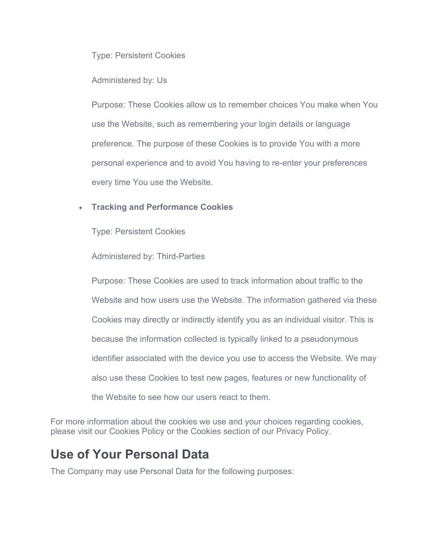Type: Persistent Cookies

Administered by: Us

Purpose: These Cookies allow us to remember choices You make when You use the Website, such as remembering your login details or language preference. The purpose of these Cookies is to provide You with a more personal experience and to avoid You having to re-enter your preferences every time You use the Website.

#### • **Tracking and Performance Cookies**

Type: Persistent Cookies

Administered by: Third-Parties

Purpose: These Cookies are used to track information about traffic to the Website and how users use the Website. The information gathered via these Cookies may directly or indirectly identify you as an individual visitor. This is because the information collected is typically linked to a pseudonymous identifier associated with the device you use to access the Website. We may also use these Cookies to test new pages, features or new functionality of the Website to see how our users react to them.

For more information about the cookies we use and your choices regarding cookies, please visit our Cookies Policy or the Cookies section of our Privacy Policy.

### **Use of Your Personal Data**

The Company may use Personal Data for the following purposes: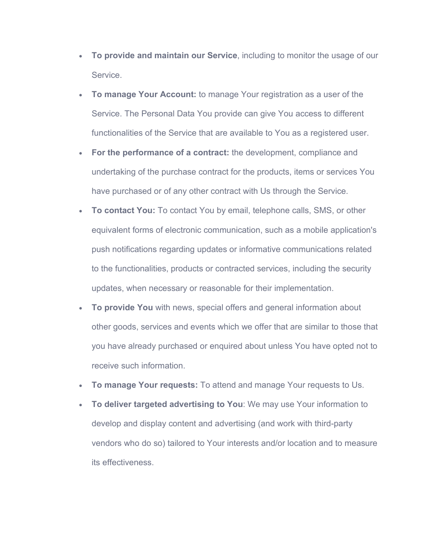- **To provide and maintain our Service**, including to monitor the usage of our Service.
- **To manage Your Account:** to manage Your registration as a user of the Service. The Personal Data You provide can give You access to different functionalities of the Service that are available to You as a registered user.
- **For the performance of a contract:** the development, compliance and undertaking of the purchase contract for the products, items or services You have purchased or of any other contract with Us through the Service.
- **To contact You:** To contact You by email, telephone calls, SMS, or other equivalent forms of electronic communication, such as a mobile application's push notifications regarding updates or informative communications related to the functionalities, products or contracted services, including the security updates, when necessary or reasonable for their implementation.
- **To provide You** with news, special offers and general information about other goods, services and events which we offer that are similar to those that you have already purchased or enquired about unless You have opted not to receive such information.
- **To manage Your requests:** To attend and manage Your requests to Us.
- **To deliver targeted advertising to You**: We may use Your information to develop and display content and advertising (and work with third-party vendors who do so) tailored to Your interests and/or location and to measure its effectiveness.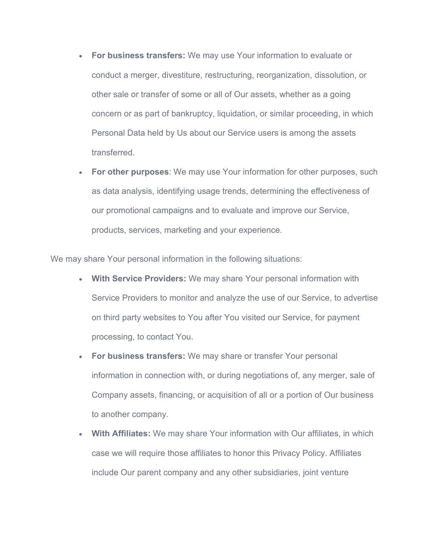- **For business transfers:** We may use Your information to evaluate or conduct a merger, divestiture, restructuring, reorganization, dissolution, or other sale or transfer of some or all of Our assets, whether as a going concern or as part of bankruptcy, liquidation, or similar proceeding, in which Personal Data held by Us about our Service users is among the assets transferred.
- **For other purposes**: We may use Your information for other purposes, such as data analysis, identifying usage trends, determining the effectiveness of our promotional campaigns and to evaluate and improve our Service, products, services, marketing and your experience.

We may share Your personal information in the following situations:

- **With Service Providers:** We may share Your personal information with Service Providers to monitor and analyze the use of our Service, to advertise on third party websites to You after You visited our Service, for payment processing, to contact You.
- **For business transfers:** We may share or transfer Your personal information in connection with, or during negotiations of, any merger, sale of Company assets, financing, or acquisition of all or a portion of Our business to another company.
- **With Affiliates:** We may share Your information with Our affiliates, in which case we will require those affiliates to honor this Privacy Policy. Affiliates include Our parent company and any other subsidiaries, joint venture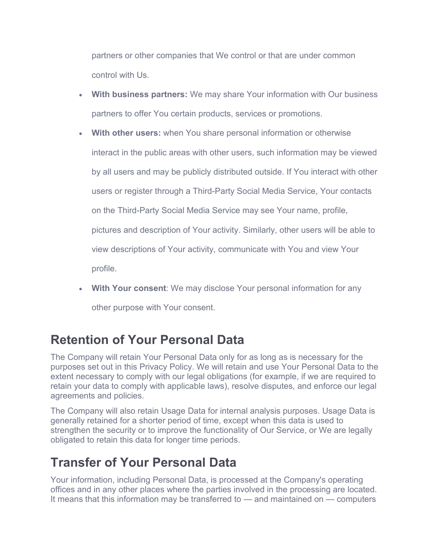partners or other companies that We control or that are under common control with Us.

- **With business partners:** We may share Your information with Our business partners to offer You certain products, services or promotions.
- **With other users:** when You share personal information or otherwise interact in the public areas with other users, such information may be viewed by all users and may be publicly distributed outside. If You interact with other users or register through a Third-Party Social Media Service, Your contacts on the Third-Party Social Media Service may see Your name, profile, pictures and description of Your activity. Similarly, other users will be able to view descriptions of Your activity, communicate with You and view Your profile.
- **With Your consent**: We may disclose Your personal information for any other purpose with Your consent.

### **Retention of Your Personal Data**

The Company will retain Your Personal Data only for as long as is necessary for the purposes set out in this Privacy Policy. We will retain and use Your Personal Data to the extent necessary to comply with our legal obligations (for example, if we are required to retain your data to comply with applicable laws), resolve disputes, and enforce our legal agreements and policies.

The Company will also retain Usage Data for internal analysis purposes. Usage Data is generally retained for a shorter period of time, except when this data is used to strengthen the security or to improve the functionality of Our Service, or We are legally obligated to retain this data for longer time periods.

# **Transfer of Your Personal Data**

Your information, including Personal Data, is processed at the Company's operating offices and in any other places where the parties involved in the processing are located. It means that this information may be transferred to — and maintained on — computers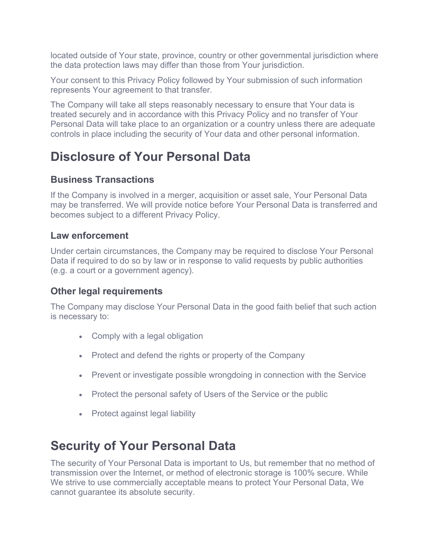located outside of Your state, province, country or other governmental jurisdiction where the data protection laws may differ than those from Your jurisdiction.

Your consent to this Privacy Policy followed by Your submission of such information represents Your agreement to that transfer.

The Company will take all steps reasonably necessary to ensure that Your data is treated securely and in accordance with this Privacy Policy and no transfer of Your Personal Data will take place to an organization or a country unless there are adequate controls in place including the security of Your data and other personal information.

### **Disclosure of Your Personal Data**

#### **Business Transactions**

If the Company is involved in a merger, acquisition or asset sale, Your Personal Data may be transferred. We will provide notice before Your Personal Data is transferred and becomes subject to a different Privacy Policy.

#### **Law enforcement**

Under certain circumstances, the Company may be required to disclose Your Personal Data if required to do so by law or in response to valid requests by public authorities (e.g. a court or a government agency).

#### **Other legal requirements**

The Company may disclose Your Personal Data in the good faith belief that such action is necessary to:

- Comply with a legal obligation
- Protect and defend the rights or property of the Company
- Prevent or investigate possible wrongdoing in connection with the Service
- Protect the personal safety of Users of the Service or the public
- Protect against legal liability

### **Security of Your Personal Data**

The security of Your Personal Data is important to Us, but remember that no method of transmission over the Internet, or method of electronic storage is 100% secure. While We strive to use commercially acceptable means to protect Your Personal Data, We cannot guarantee its absolute security.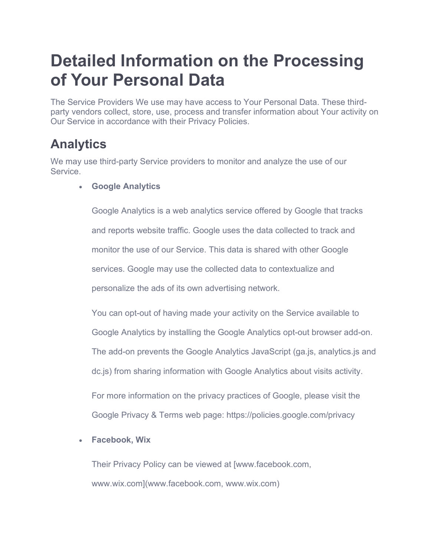# **Detailed Information on the Processing of Your Personal Data**

The Service Providers We use may have access to Your Personal Data. These thirdparty vendors collect, store, use, process and transfer information about Your activity on Our Service in accordance with their Privacy Policies.

## **Analytics**

We may use third-party Service providers to monitor and analyze the use of our Service.

• **Google Analytics**

Google Analytics is a web analytics service offered by Google that tracks and reports website traffic. Google uses the data collected to track and monitor the use of our Service. This data is shared with other Google services. Google may use the collected data to contextualize and personalize the ads of its own advertising network.

You can opt-out of having made your activity on the Service available to Google Analytics by installing the Google Analytics opt-out browser add-on. The add-on prevents the Google Analytics JavaScript (ga.js, analytics.js and dc.js) from sharing information with Google Analytics about visits activity.

For more information on the privacy practices of Google, please visit the Google Privacy & Terms web page: <https://policies.google.com/privacy>

#### • **Facebook, Wix**

Their Privacy Policy can be viewed at [www.facebook.com, www.wix.com](www.facebook.com, www.wix.com)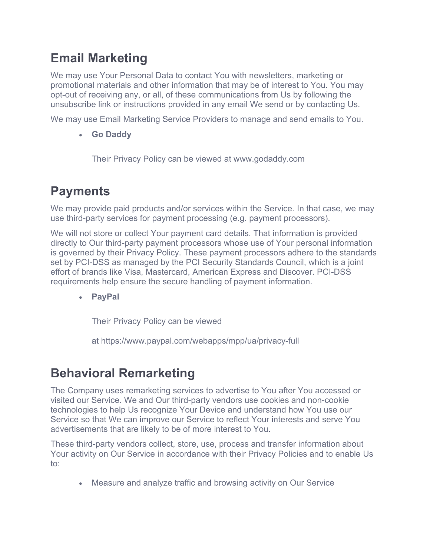## **Email Marketing**

We may use Your Personal Data to contact You with newsletters, marketing or promotional materials and other information that may be of interest to You. You may opt-out of receiving any, or all, of these communications from Us by following the unsubscribe link or instructions provided in any email We send or by contacting Us.

We may use Email Marketing Service Providers to manage and send emails to You.

• **Go Daddy**

Their Privacy Policy can be viewed at [www.godaddy.com](https://www.privacypolicies.com/live/www.godaddy.com)

### **Payments**

We may provide paid products and/or services within the Service. In that case, we may use third-party services for payment processing (e.g. payment processors).

We will not store or collect Your payment card details. That information is provided directly to Our third-party payment processors whose use of Your personal information is governed by their Privacy Policy. These payment processors adhere to the standards set by PCI-DSS as managed by the PCI Security Standards Council, which is a joint effort of brands like Visa, Mastercard, American Express and Discover. PCI-DSS requirements help ensure the secure handling of payment information.

• **PayPal**

Their Privacy Policy can be viewed

at <https://www.paypal.com/webapps/mpp/ua/privacy-full>

# **Behavioral Remarketing**

The Company uses remarketing services to advertise to You after You accessed or visited our Service. We and Our third-party vendors use cookies and non-cookie technologies to help Us recognize Your Device and understand how You use our Service so that We can improve our Service to reflect Your interests and serve You advertisements that are likely to be of more interest to You.

These third-party vendors collect, store, use, process and transfer information about Your activity on Our Service in accordance with their Privacy Policies and to enable Us to:

• Measure and analyze traffic and browsing activity on Our Service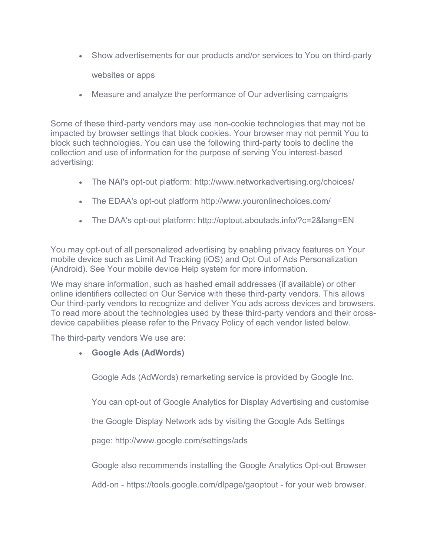- Show advertisements for our products and/or services to You on third-party websites or apps
- Measure and analyze the performance of Our advertising campaigns

Some of these third-party vendors may use non-cookie technologies that may not be impacted by browser settings that block cookies. Your browser may not permit You to block such technologies. You can use the following third-party tools to decline the collection and use of information for the purpose of serving You interest-based advertising:

- The NAI's opt-out platform: <http://www.networkadvertising.org/choices/>
- The EDAA's opt-out platform <http://www.youronlinechoices.com/>
- The DAA's opt-out platform: <http://optout.aboutads.info/?c=2&lang=EN>

You may opt-out of all personalized advertising by enabling privacy features on Your mobile device such as Limit Ad Tracking (iOS) and Opt Out of Ads Personalization (Android). See Your mobile device Help system for more information.

We may share information, such as hashed email addresses (if available) or other online identifiers collected on Our Service with these third-party vendors. This allows Our third-party vendors to recognize and deliver You ads across devices and browsers. To read more about the technologies used by these third-party vendors and their crossdevice capabilities please refer to the Privacy Policy of each vendor listed below.

The third-party vendors We use are:

### • **Google Ads (AdWords)**

Google Ads (AdWords) remarketing service is provided by Google Inc.

You can opt-out of Google Analytics for Display Advertising and customise

the Google Display Network ads by visiting the Google Ads Settings

page: <http://www.google.com/settings/ads>

Google also recommends installing the Google Analytics Opt-out Browser

Add-on - <https://tools.google.com/dlpage/gaoptout> - for your web browser.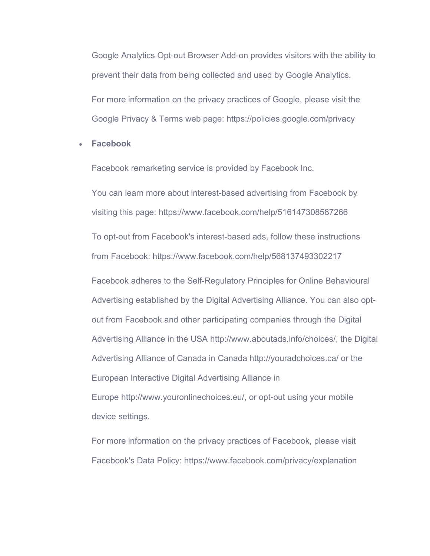Google Analytics Opt-out Browser Add-on provides visitors with the ability to prevent their data from being collected and used by Google Analytics. For more information on the privacy practices of Google, please visit the Google Privacy & Terms web page: <https://policies.google.com/privacy>

• **Facebook**

Facebook remarketing service is provided by Facebook Inc.

You can learn more about interest-based advertising from Facebook by visiting this page: <https://www.facebook.com/help/516147308587266> To opt-out from Facebook's interest-based ads, follow these instructions from Facebook: <https://www.facebook.com/help/568137493302217> Facebook adheres to the Self-Regulatory Principles for Online Behavioural Advertising established by the Digital Advertising Alliance. You can also optout from Facebook and other participating companies through the Digital

Advertising Alliance in the USA [http://www.aboutads.info/choices/,](http://www.aboutads.info/choices/) the Digital Advertising Alliance of Canada in Canada <http://youradchoices.ca/> or the European Interactive Digital Advertising Alliance in

Europe [http://www.youronlinechoices.eu/,](http://www.youronlinechoices.eu/) or opt-out using your mobile device settings.

For more information on the privacy practices of Facebook, please visit Facebook's Data Policy: <https://www.facebook.com/privacy/explanation>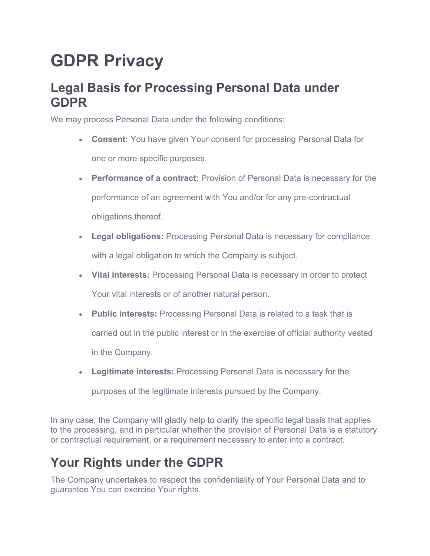# **GDPR Privacy**

### **Legal Basis for Processing Personal Data under GDPR**

We may process Personal Data under the following conditions:

- **Consent:** You have given Your consent for processing Personal Data for one or more specific purposes.
- **Performance of a contract:** Provision of Personal Data is necessary for the performance of an agreement with You and/or for any pre-contractual obligations thereof.
- **Legal obligations:** Processing Personal Data is necessary for compliance with a legal obligation to which the Company is subject.
- **Vital interests:** Processing Personal Data is necessary in order to protect Your vital interests or of another natural person.
- **Public interests:** Processing Personal Data is related to a task that is carried out in the public interest or in the exercise of official authority vested in the Company.
- **Legitimate interests:** Processing Personal Data is necessary for the

purposes of the legitimate interests pursued by the Company.

In any case, the Company will gladly help to clarify the specific legal basis that applies to the processing, and in particular whether the provision of Personal Data is a statutory or contractual requirement, or a requirement necessary to enter into a contract.

# **Your Rights under the GDPR**

The Company undertakes to respect the confidentiality of Your Personal Data and to guarantee You can exercise Your rights.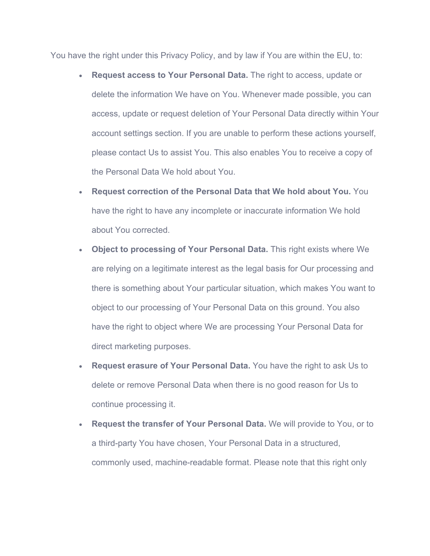You have the right under this Privacy Policy, and by law if You are within the EU, to:

- **Request access to Your Personal Data.** The right to access, update or delete the information We have on You. Whenever made possible, you can access, update or request deletion of Your Personal Data directly within Your account settings section. If you are unable to perform these actions yourself, please contact Us to assist You. This also enables You to receive a copy of the Personal Data We hold about You.
- **Request correction of the Personal Data that We hold about You.** You have the right to have any incomplete or inaccurate information We hold about You corrected.
- **Object to processing of Your Personal Data.** This right exists where We are relying on a legitimate interest as the legal basis for Our processing and there is something about Your particular situation, which makes You want to object to our processing of Your Personal Data on this ground. You also have the right to object where We are processing Your Personal Data for direct marketing purposes.
- **Request erasure of Your Personal Data.** You have the right to ask Us to delete or remove Personal Data when there is no good reason for Us to continue processing it.
- **Request the transfer of Your Personal Data.** We will provide to You, or to a third-party You have chosen, Your Personal Data in a structured, commonly used, machine-readable format. Please note that this right only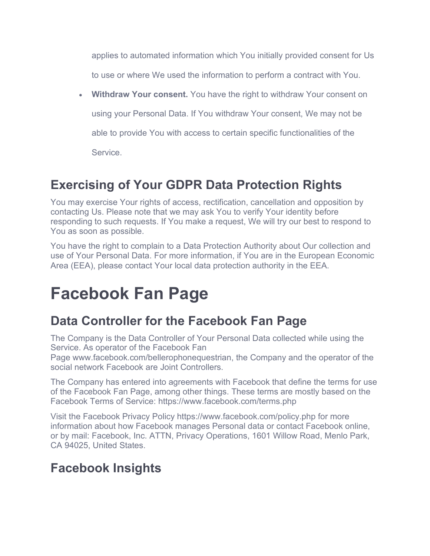applies to automated information which You initially provided consent for Us to use or where We used the information to perform a contract with You.

• **Withdraw Your consent.** You have the right to withdraw Your consent on using your Personal Data. If You withdraw Your consent, We may not be able to provide You with access to certain specific functionalities of the

**Service** 

# **Exercising of Your GDPR Data Protection Rights**

You may exercise Your rights of access, rectification, cancellation and opposition by contacting Us. Please note that we may ask You to verify Your identity before responding to such requests. If You make a request, We will try our best to respond to You as soon as possible.

You have the right to complain to a Data Protection Authority about Our collection and use of Your Personal Data. For more information, if You are in the European Economic Area (EEA), please contact Your local data protection authority in the EEA.

# **Facebook Fan Page**

# **Data Controller for the Facebook Fan Page**

The Company is the Data Controller of Your Personal Data collected while using the Service. As operator of the Facebook Fan

Page [www.facebook.com/bellerophonequestrian,](https://www.privacypolicies.com/live/www.facebook.com/bellerophonequestrian) the Company and the operator of the social network Facebook are Joint Controllers.

The Company has entered into agreements with Facebook that define the terms for use of the Facebook Fan Page, among other things. These terms are mostly based on the Facebook Terms of Service: <https://www.facebook.com/terms.php>

Visit the Facebook Privacy Policy <https://www.facebook.com/policy.php> for more information about how Facebook manages Personal data or contact Facebook online, or by mail: Facebook, Inc. ATTN, Privacy Operations, 1601 Willow Road, Menlo Park, CA 94025, United States.

## **Facebook Insights**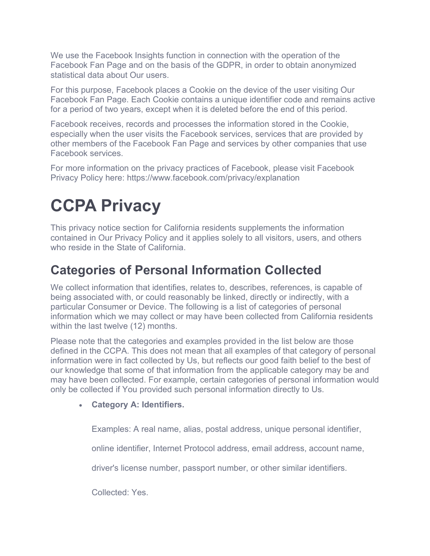We use the Facebook Insights function in connection with the operation of the Facebook Fan Page and on the basis of the GDPR, in order to obtain anonymized statistical data about Our users.

For this purpose, Facebook places a Cookie on the device of the user visiting Our Facebook Fan Page. Each Cookie contains a unique identifier code and remains active for a period of two years, except when it is deleted before the end of this period.

Facebook receives, records and processes the information stored in the Cookie, especially when the user visits the Facebook services, services that are provided by other members of the Facebook Fan Page and services by other companies that use Facebook services.

For more information on the privacy practices of Facebook, please visit Facebook Privacy Policy here: <https://www.facebook.com/privacy/explanation>

# **CCPA Privacy**

This privacy notice section for California residents supplements the information contained in Our Privacy Policy and it applies solely to all visitors, users, and others who reside in the State of California

### **Categories of Personal Information Collected**

We collect information that identifies, relates to, describes, references, is capable of being associated with, or could reasonably be linked, directly or indirectly, with a particular Consumer or Device. The following is a list of categories of personal information which we may collect or may have been collected from California residents within the last twelve (12) months.

Please note that the categories and examples provided in the list below are those defined in the CCPA. This does not mean that all examples of that category of personal information were in fact collected by Us, but reflects our good faith belief to the best of our knowledge that some of that information from the applicable category may be and may have been collected. For example, certain categories of personal information would only be collected if You provided such personal information directly to Us.

#### • **Category A: Identifiers.**

Examples: A real name, alias, postal address, unique personal identifier,

online identifier, Internet Protocol address, email address, account name,

driver's license number, passport number, or other similar identifiers.

Collected: Yes.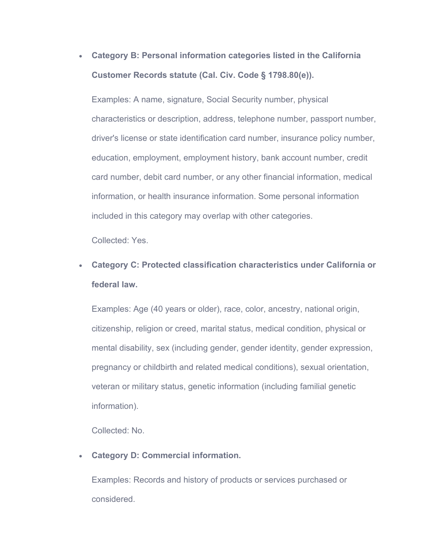• **Category B: Personal information categories listed in the California Customer Records statute (Cal. Civ. Code § 1798.80(e)).**

Examples: A name, signature, Social Security number, physical characteristics or description, address, telephone number, passport number, driver's license or state identification card number, insurance policy number, education, employment, employment history, bank account number, credit card number, debit card number, or any other financial information, medical information, or health insurance information. Some personal information included in this category may overlap with other categories.

Collected: Yes.

• **Category C: Protected classification characteristics under California or federal law.**

Examples: Age (40 years or older), race, color, ancestry, national origin, citizenship, religion or creed, marital status, medical condition, physical or mental disability, sex (including gender, gender identity, gender expression, pregnancy or childbirth and related medical conditions), sexual orientation, veteran or military status, genetic information (including familial genetic information).

Collected: No.

• **Category D: Commercial information.**

Examples: Records and history of products or services purchased or considered.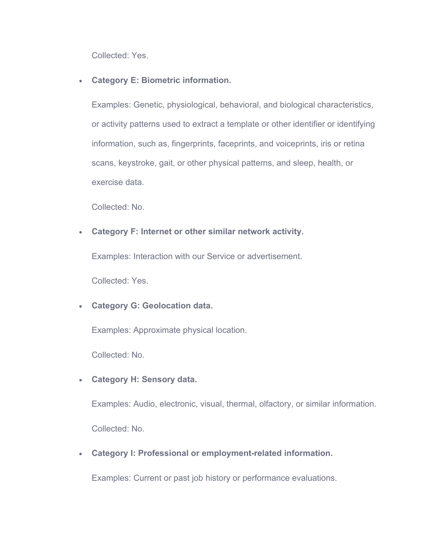Collected: Yes.

• **Category E: Biometric information.**

Examples: Genetic, physiological, behavioral, and biological characteristics, or activity patterns used to extract a template or other identifier or identifying information, such as, fingerprints, faceprints, and voiceprints, iris or retina scans, keystroke, gait, or other physical patterns, and sleep, health, or exercise data.

Collected: No.

• **Category F: Internet or other similar network activity.**

Examples: Interaction with our Service or advertisement.

Collected: Yes.

• **Category G: Geolocation data.**

Examples: Approximate physical location.

Collected: No.

#### • **Category H: Sensory data.**

Examples: Audio, electronic, visual, thermal, olfactory, or similar information.

Collected: No.

• **Category I: Professional or employment-related information.**

Examples: Current or past job history or performance evaluations.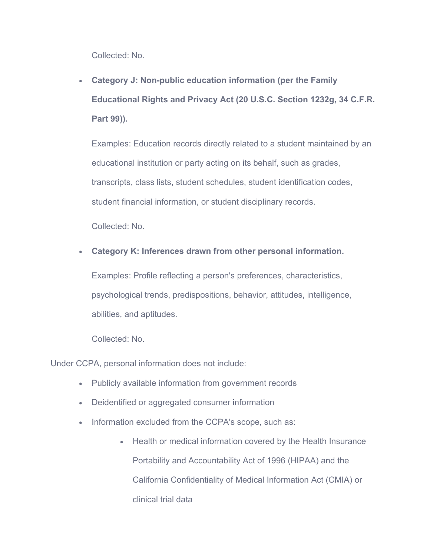Collected: No.

• **Category J: Non-public education information (per the Family Educational Rights and Privacy Act (20 U.S.C. Section 1232g, 34 C.F.R. Part 99)).**

Examples: Education records directly related to a student maintained by an educational institution or party acting on its behalf, such as grades, transcripts, class lists, student schedules, student identification codes, student financial information, or student disciplinary records.

Collected: No.

#### • **Category K: Inferences drawn from other personal information.**

Examples: Profile reflecting a person's preferences, characteristics, psychological trends, predispositions, behavior, attitudes, intelligence, abilities, and aptitudes.

Collected: No.

Under CCPA, personal information does not include:

- Publicly available information from government records
- Deidentified or aggregated consumer information
- Information excluded from the CCPA's scope, such as:
	- Health or medical information covered by the Health Insurance Portability and Accountability Act of 1996 (HIPAA) and the California Confidentiality of Medical Information Act (CMIA) or clinical trial data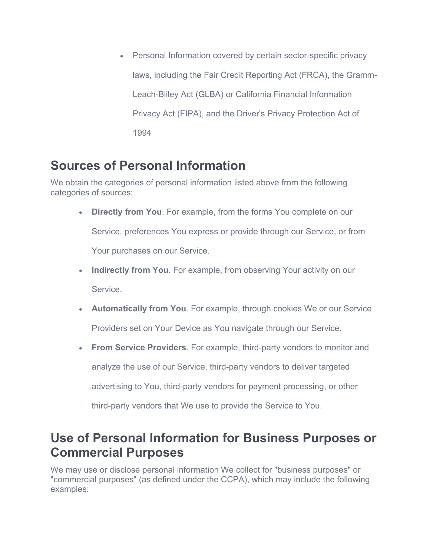• Personal Information covered by certain sector-specific privacy laws, including the Fair Credit Reporting Act (FRCA), the Gramm-Leach-Bliley Act (GLBA) or California Financial Information Privacy Act (FIPA), and the Driver's Privacy Protection Act of 1994

### **Sources of Personal Information**

We obtain the categories of personal information listed above from the following categories of sources:

- **Directly from You**. For example, from the forms You complete on our Service, preferences You express or provide through our Service, or from Your purchases on our Service.
- **Indirectly from You**. For example, from observing Your activity on our Service.
- **Automatically from You**. For example, through cookies We or our Service Providers set on Your Device as You navigate through our Service.
- **From Service Providers**. For example, third-party vendors to monitor and analyze the use of our Service, third-party vendors to deliver targeted advertising to You, third-party vendors for payment processing, or other third-party vendors that We use to provide the Service to You.

### **Use of Personal Information for Business Purposes or Commercial Purposes**

We may use or disclose personal information We collect for "business purposes" or "commercial purposes" (as defined under the CCPA), which may include the following examples: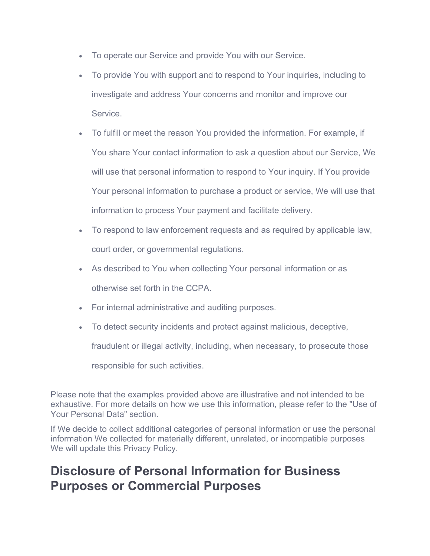- To operate our Service and provide You with our Service.
- To provide You with support and to respond to Your inquiries, including to investigate and address Your concerns and monitor and improve our **Service**
- To fulfill or meet the reason You provided the information. For example, if You share Your contact information to ask a question about our Service, We will use that personal information to respond to Your inquiry. If You provide Your personal information to purchase a product or service, We will use that information to process Your payment and facilitate delivery.
- To respond to law enforcement requests and as required by applicable law, court order, or governmental regulations.
- As described to You when collecting Your personal information or as otherwise set forth in the CCPA.
- For internal administrative and auditing purposes.
- To detect security incidents and protect against malicious, deceptive,

fraudulent or illegal activity, including, when necessary, to prosecute those

responsible for such activities.

Please note that the examples provided above are illustrative and not intended to be exhaustive. For more details on how we use this information, please refer to the "Use of Your Personal Data" section.

If We decide to collect additional categories of personal information or use the personal information We collected for materially different, unrelated, or incompatible purposes We will update this Privacy Policy.

## **Disclosure of Personal Information for Business Purposes or Commercial Purposes**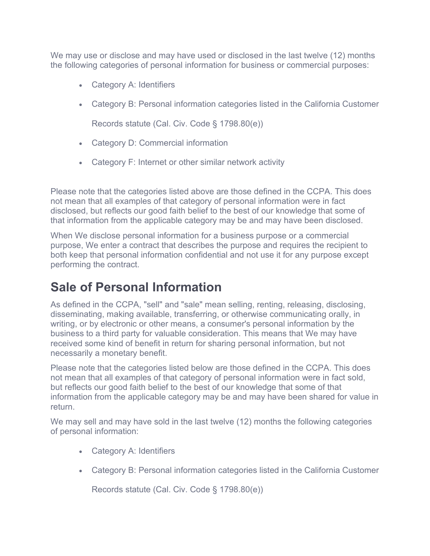We may use or disclose and may have used or disclosed in the last twelve (12) months the following categories of personal information for business or commercial purposes:

- Category A: Identifiers
- Category B: Personal information categories listed in the California Customer

Records statute (Cal. Civ. Code § 1798.80(e))

- Category D: Commercial information
- Category F: Internet or other similar network activity

Please note that the categories listed above are those defined in the CCPA. This does not mean that all examples of that category of personal information were in fact disclosed, but reflects our good faith belief to the best of our knowledge that some of that information from the applicable category may be and may have been disclosed.

When We disclose personal information for a business purpose or a commercial purpose, We enter a contract that describes the purpose and requires the recipient to both keep that personal information confidential and not use it for any purpose except performing the contract.

# **Sale of Personal Information**

As defined in the CCPA, "sell" and "sale" mean selling, renting, releasing, disclosing, disseminating, making available, transferring, or otherwise communicating orally, in writing, or by electronic or other means, a consumer's personal information by the business to a third party for valuable consideration. This means that We may have received some kind of benefit in return for sharing personal information, but not necessarily a monetary benefit.

Please note that the categories listed below are those defined in the CCPA. This does not mean that all examples of that category of personal information were in fact sold, but reflects our good faith belief to the best of our knowledge that some of that information from the applicable category may be and may have been shared for value in return.

We may sell and may have sold in the last twelve (12) months the following categories of personal information:

- Category A: Identifiers
- Category B: Personal information categories listed in the California Customer

Records statute (Cal. Civ. Code § 1798.80(e))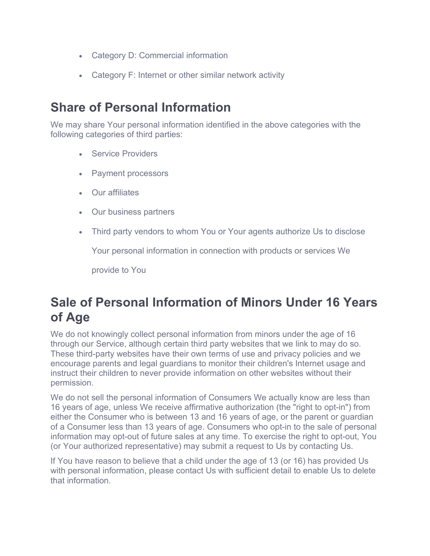- Category D: Commercial information
- Category F: Internet or other similar network activity

### **Share of Personal Information**

We may share Your personal information identified in the above categories with the following categories of third parties:

- Service Providers
- Payment processors
- Our affiliates
- Our business partners
- Third party vendors to whom You or Your agents authorize Us to disclose

Your personal information in connection with products or services We

provide to You

### **Sale of Personal Information of Minors Under 16 Years of Age**

We do not knowingly collect personal information from minors under the age of 16 through our Service, although certain third party websites that we link to may do so. These third-party websites have their own terms of use and privacy policies and we encourage parents and legal guardians to monitor their children's Internet usage and instruct their children to never provide information on other websites without their permission.

We do not sell the personal information of Consumers We actually know are less than 16 years of age, unless We receive affirmative authorization (the "right to opt-in") from either the Consumer who is between 13 and 16 years of age, or the parent or guardian of a Consumer less than 13 years of age. Consumers who opt-in to the sale of personal information may opt-out of future sales at any time. To exercise the right to opt-out, You (or Your authorized representative) may submit a request to Us by contacting Us.

If You have reason to believe that a child under the age of 13 (or 16) has provided Us with personal information, please contact Us with sufficient detail to enable Us to delete that information.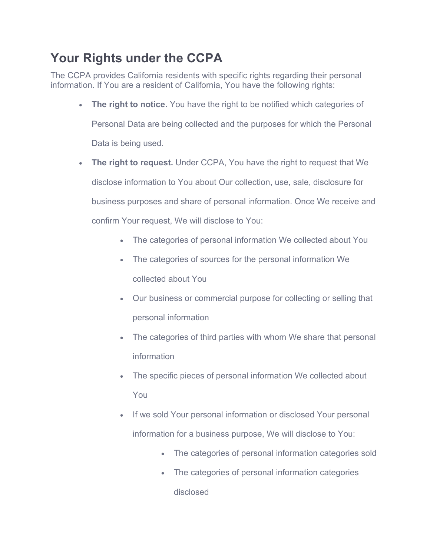## **Your Rights under the CCPA**

The CCPA provides California residents with specific rights regarding their personal information. If You are a resident of California, You have the following rights:

- **The right to notice.** You have the right to be notified which categories of Personal Data are being collected and the purposes for which the Personal Data is being used.
- **The right to request.** Under CCPA, You have the right to request that We disclose information to You about Our collection, use, sale, disclosure for business purposes and share of personal information. Once We receive and confirm Your request, We will disclose to You:
	- The categories of personal information We collected about You
	- The categories of sources for the personal information We collected about You
	- Our business or commercial purpose for collecting or selling that personal information
	- The categories of third parties with whom We share that personal information
	- The specific pieces of personal information We collected about You
	- If we sold Your personal information or disclosed Your personal information for a business purpose, We will disclose to You:
		- The categories of personal information categories sold
		- The categories of personal information categories disclosed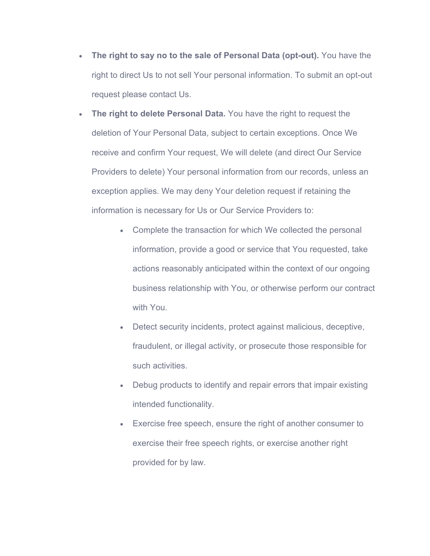- **The right to say no to the sale of Personal Data (opt-out).** You have the right to direct Us to not sell Your personal information. To submit an opt-out request please contact Us.
- **The right to delete Personal Data.** You have the right to request the deletion of Your Personal Data, subject to certain exceptions. Once We receive and confirm Your request, We will delete (and direct Our Service Providers to delete) Your personal information from our records, unless an exception applies. We may deny Your deletion request if retaining the information is necessary for Us or Our Service Providers to:
	- Complete the transaction for which We collected the personal information, provide a good or service that You requested, take actions reasonably anticipated within the context of our ongoing business relationship with You, or otherwise perform our contract with You.
	- Detect security incidents, protect against malicious, deceptive, fraudulent, or illegal activity, or prosecute those responsible for such activities.
	- Debug products to identify and repair errors that impair existing intended functionality.
	- Exercise free speech, ensure the right of another consumer to exercise their free speech rights, or exercise another right provided for by law.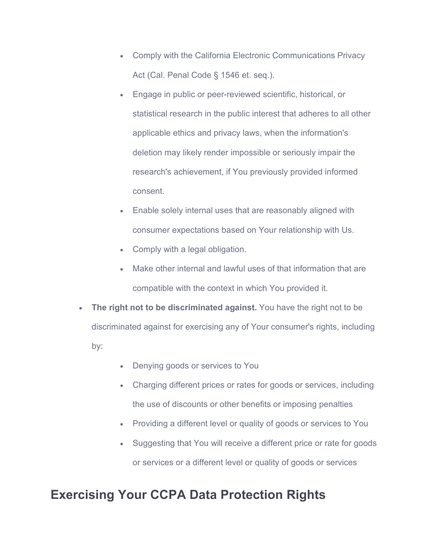- Comply with the California Electronic Communications Privacy Act (Cal. Penal Code § 1546 et. seq.).
- Engage in public or peer-reviewed scientific, historical, or statistical research in the public interest that adheres to all other applicable ethics and privacy laws, when the information's deletion may likely render impossible or seriously impair the research's achievement, if You previously provided informed consent.
- Enable solely internal uses that are reasonably aligned with consumer expectations based on Your relationship with Us.
- Comply with a legal obligation.
- Make other internal and lawful uses of that information that are compatible with the context in which You provided it.
- **The right not to be discriminated against.** You have the right not to be discriminated against for exercising any of Your consumer's rights, including by:
	- Denying goods or services to You
	- Charging different prices or rates for goods or services, including the use of discounts or other benefits or imposing penalties
	- Providing a different level or quality of goods or services to You
	- Suggesting that You will receive a different price or rate for goods or services or a different level or quality of goods or services

# **Exercising Your CCPA Data Protection Rights**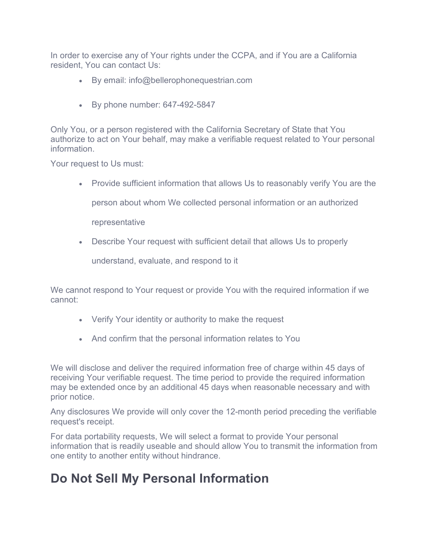In order to exercise any of Your rights under the CCPA, and if You are a California resident, You can contact Us:

- By email: info@bellerophonequestrian.com
- By phone number: 647-492-5847

Only You, or a person registered with the California Secretary of State that You authorize to act on Your behalf, may make a verifiable request related to Your personal information.

Your request to Us must:

• Provide sufficient information that allows Us to reasonably verify You are the

person about whom We collected personal information or an authorized

representative

• Describe Your request with sufficient detail that allows Us to properly

understand, evaluate, and respond to it

We cannot respond to Your request or provide You with the required information if we cannot:

- Verify Your identity or authority to make the request
- And confirm that the personal information relates to You

We will disclose and deliver the required information free of charge within 45 days of receiving Your verifiable request. The time period to provide the required information may be extended once by an additional 45 days when reasonable necessary and with prior notice.

Any disclosures We provide will only cover the 12-month period preceding the verifiable request's receipt.

For data portability requests, We will select a format to provide Your personal information that is readily useable and should allow You to transmit the information from one entity to another entity without hindrance.

## **Do Not Sell My Personal Information**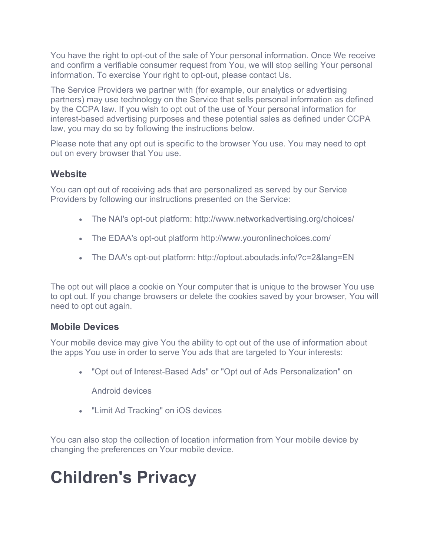You have the right to opt-out of the sale of Your personal information. Once We receive and confirm a verifiable consumer request from You, we will stop selling Your personal information. To exercise Your right to opt-out, please contact Us.

The Service Providers we partner with (for example, our analytics or advertising partners) may use technology on the Service that sells personal information as defined by the CCPA law. If you wish to opt out of the use of Your personal information for interest-based advertising purposes and these potential sales as defined under CCPA law, you may do so by following the instructions below.

Please note that any opt out is specific to the browser You use. You may need to opt out on every browser that You use.

#### **Website**

You can opt out of receiving ads that are personalized as served by our Service Providers by following our instructions presented on the Service:

- The NAI's opt-out platform: <http://www.networkadvertising.org/choices/>
- The EDAA's opt-out platform <http://www.youronlinechoices.com/>
- The DAA's opt-out platform: <http://optout.aboutads.info/?c=2&lang=EN>

The opt out will place a cookie on Your computer that is unique to the browser You use to opt out. If you change browsers or delete the cookies saved by your browser, You will need to opt out again.

#### **Mobile Devices**

Your mobile device may give You the ability to opt out of the use of information about the apps You use in order to serve You ads that are targeted to Your interests:

• "Opt out of Interest-Based Ads" or "Opt out of Ads Personalization" on

Android devices

• "Limit Ad Tracking" on iOS devices

You can also stop the collection of location information from Your mobile device by changing the preferences on Your mobile device.

# **Children's Privacy**